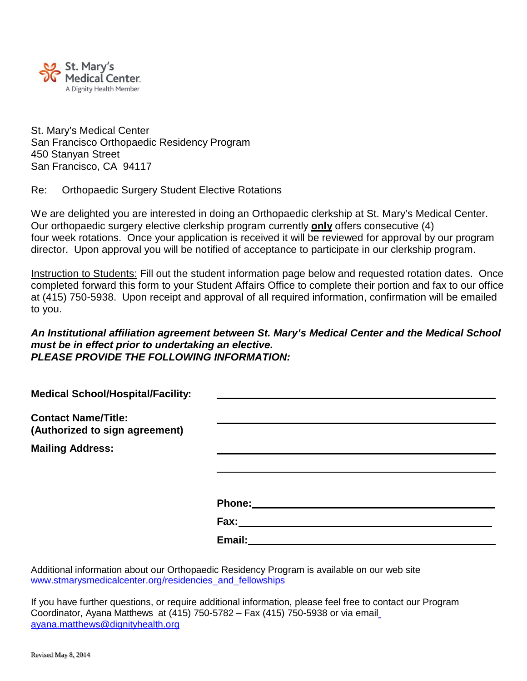

St. Mary's Medical Center San Francisco Orthopaedic Residency Program 450 Stanyan Street San Francisco, CA 94117

## Re: Orthopaedic Surgery Student Elective Rotations

We are delighted you are interested in doing an Orthopaedic clerkship at St. Mary's Medical Center. Our orthopaedic surgery elective clerkship program currently **only** offers consecutive (4) four week rotations. Once your application is received it will be reviewed for approval by our program director. Upon approval you will be notified of acceptance to participate in our clerkship program.

Instruction to Students: Fill out the student information page below and requested rotation dates. Once completed forward this form to your Student Affairs Office to complete their portion and fax to our office at (415) 750-5938. Upon receipt and approval of all required information, confirmation will be emailed to you.

## *An Institutional affiliation agreement between St. Mary's Medical Center and the Medical School must be in effect prior to undertaking an elective. PLEASE PROVIDE THE FOLLOWING INFORMATION:*

| <b>Medical School/Hospital/Facility:</b>                     |             |
|--------------------------------------------------------------|-------------|
| <b>Contact Name/Title:</b><br>(Authorized to sign agreement) |             |
| <b>Mailing Address:</b>                                      |             |
|                                                              |             |
|                                                              |             |
|                                                              | Phone:      |
|                                                              | <b>Fax:</b> |
|                                                              | Email:      |

Additional information about our Orthopaedic Residency Program is available on our web site [www.stmarysmedicalcenter.org/residencies\\_and\\_fellowships](http://www.stmarysmedicalcenter.org/residencies_and_fellowships)

If you have further questions, or require additional information, please feel free to contact our Program Coordinator, Ayana Matthews at (415) 750-5782 – Fax (415) 750-5938 or via emai[l](mailto:%20ayana.matthews@dignityhealth.org) [ayana.matthews@dignityhealth.org](mailto:%20ayana.matthews@dignityhealth.org)